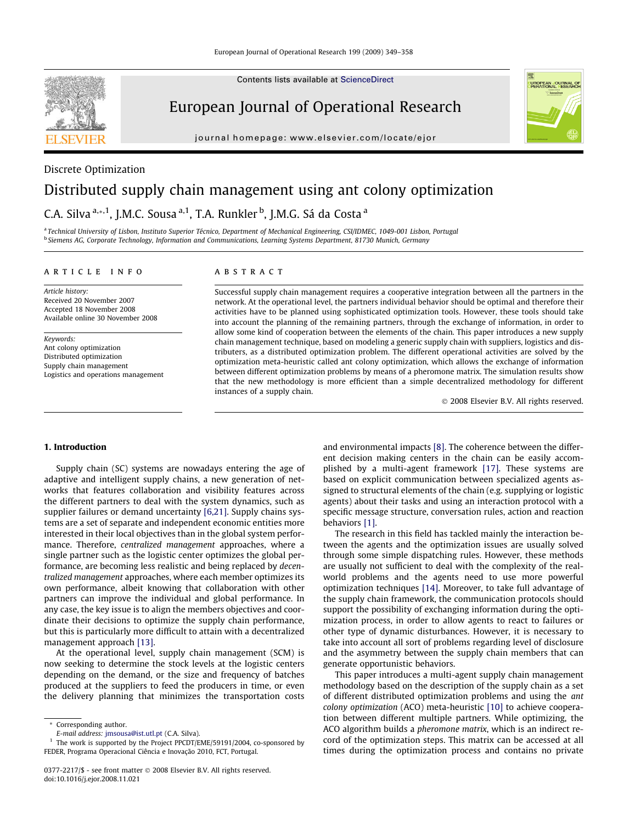Contents lists available at [ScienceDirect](http://www.sciencedirect.com/science/journal/03772217)

### European Journal of Operational Research

journal homepage: [www.elsevier.com/locate/ejor](http://www.elsevier.com/locate/ejor)



# Discrete Optimization Distributed supply chain management using ant colony optimization

### C.A. Silva <sup>a,</sup>\*,<sup>1</sup>, J.M.C. Sousa <sup>a,1</sup>, T.A. Runkler <sup>b</sup>, J.M.G. Sá da Costa <sup>a</sup>

<sup>a</sup> Technical University of Lisbon, Instituto Superior Técnico, Department of Mechanical Engineering, CSI/IDMEC, 1049-001 Lisbon, Portugal <sup>b</sup> Siemens AG, Corporate Technology, Information and Communications, Learning Systems Department, 81730 Munich, Germany

#### article info

Article history: Received 20 November 2007 Accepted 18 November 2008 Available online 30 November 2008

Keywords: Ant colony optimization Distributed optimization Supply chain management Logistics and operations management

#### **ABSTRACT**

Successful supply chain management requires a cooperative integration between all the partners in the network. At the operational level, the partners individual behavior should be optimal and therefore their activities have to be planned using sophisticated optimization tools. However, these tools should take into account the planning of the remaining partners, through the exchange of information, in order to allow some kind of cooperation between the elements of the chain. This paper introduces a new supply chain management technique, based on modeling a generic supply chain with suppliers, logistics and distributers, as a distributed optimization problem. The different operational activities are solved by the optimization meta-heuristic called ant colony optimization, which allows the exchange of information between different optimization problems by means of a pheromone matrix. The simulation results show that the new methodology is more efficient than a simple decentralized methodology for different instances of a supply chain.

- 2008 Elsevier B.V. All rights reserved.

#### 1. Introduction

Supply chain (SC) systems are nowadays entering the age of adaptive and intelligent supply chains, a new generation of networks that features collaboration and visibility features across the different partners to deal with the system dynamics, such as supplier failures or demand uncertainty [\[6,21\].](#page--1-0) Supply chains systems are a set of separate and independent economic entities more interested in their local objectives than in the global system performance. Therefore, centralized management approaches, where a single partner such as the logistic center optimizes the global performance, are becoming less realistic and being replaced by decentralized management approaches, where each member optimizes its own performance, albeit knowing that collaboration with other partners can improve the individual and global performance. In any case, the key issue is to align the members objectives and coordinate their decisions to optimize the supply chain performance, but this is particularly more difficult to attain with a decentralized management approach [\[13\].](#page--1-0)

At the operational level, supply chain management (SCM) is now seeking to determine the stock levels at the logistic centers depending on the demand, or the size and frequency of batches produced at the suppliers to feed the producers in time, or even the delivery planning that minimizes the transportation costs

Corresponding author.

and environmental impacts [\[8\]](#page--1-0). The coherence between the different decision making centers in the chain can be easily accomplished by a multi-agent framework [\[17\].](#page--1-0) These systems are based on explicit communication between specialized agents assigned to structural elements of the chain (e.g. supplying or logistic agents) about their tasks and using an interaction protocol with a specific message structure, conversation rules, action and reaction behaviors [\[1\].](#page--1-0)

The research in this field has tackled mainly the interaction between the agents and the optimization issues are usually solved through some simple dispatching rules. However, these methods are usually not sufficient to deal with the complexity of the realworld problems and the agents need to use more powerful optimization techniques [\[14\]](#page--1-0). Moreover, to take full advantage of the supply chain framework, the communication protocols should support the possibility of exchanging information during the optimization process, in order to allow agents to react to failures or other type of dynamic disturbances. However, it is necessary to take into account all sort of problems regarding level of disclosure and the asymmetry between the supply chain members that can generate opportunistic behaviors.

This paper introduces a multi-agent supply chain management methodology based on the description of the supply chain as a set of different distributed optimization problems and using the ant colony optimization (ACO) meta-heuristic [\[10\]](#page--1-0) to achieve cooperation between different multiple partners. While optimizing, the ACO algorithm builds a pheromone matrix, which is an indirect record of the optimization steps. This matrix can be accessed at all times during the optimization process and contains no private

E-mail address: [jmsousa@ist.utl.pt](mailto:jmsousa@ist.utl.pt) (C.A. Silva).

The work is supported by the Project PPCDT/EME/59191/2004, co-sponsored by FEDER, Programa Operacional Ciência e Inovação 2010, FCT, Portugal.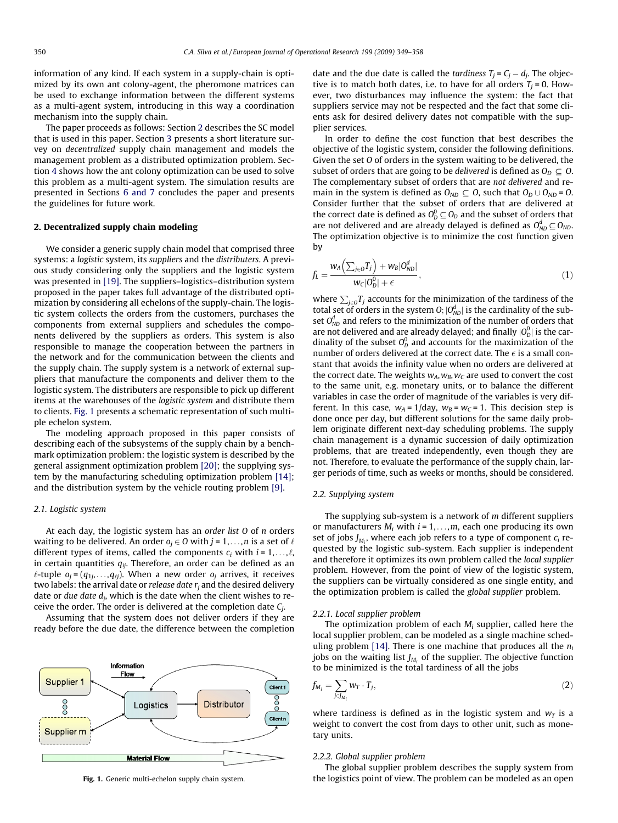information of any kind. If each system in a supply-chain is optimized by its own ant colony-agent, the pheromone matrices can be used to exchange information between the different systems as a multi-agent system, introducing in this way a coordination mechanism into the supply chain.

The paper proceeds as follows: Section 2 describes the SC model that is used in this paper. Section [3](#page--1-0) presents a short literature survey on decentralized supply chain management and models the management problem as a distributed optimization problem. Section [4](#page--1-0) shows how the ant colony optimization can be used to solve this problem as a multi-agent system. The simulation results are presented in Sections [6 and 7](#page--1-0) concludes the paper and presents the guidelines for future work.

#### 2. Decentralized supply chain modeling

We consider a generic supply chain model that comprised three systems: a logistic system, its suppliers and the distributers. A previous study considering only the suppliers and the logistic system was presented in [\[19\].](#page--1-0) The suppliers–logistics–distribution system proposed in the paper takes full advantage of the distributed optimization by considering all echelons of the supply-chain. The logistic system collects the orders from the customers, purchases the components from external suppliers and schedules the components delivered by the suppliers as orders. This system is also responsible to manage the cooperation between the partners in the network and for the communication between the clients and the supply chain. The supply system is a network of external suppliers that manufacture the components and deliver them to the logistic system. The distributers are responsible to pick up different items at the warehouses of the logistic system and distribute them to clients. Fig. 1 presents a schematic representation of such multiple echelon system.

The modeling approach proposed in this paper consists of describing each of the subsystems of the supply chain by a benchmark optimization problem: the logistic system is described by the general assignment optimization problem [\[20\]](#page--1-0); the supplying system by the manufacturing scheduling optimization problem [\[14\];](#page--1-0) and the distribution system by the vehicle routing problem [\[9\].](#page--1-0)

#### 2.1. Logistic system

At each day, the logistic system has an order list O of n orders waiting to be delivered. An order  $o_i \in O$  with  $j = 1, \ldots, n$  is a set of  $\ell$ different types of items, called the components  $c_i$  with  $i = 1, \ldots, \ell$ , in certain quantities  $q_{ij}$ . Therefore, an order can be defined as an  $\ell$ -tuple  $o_j = (q_{1j},...,q_{\ell j})$ . When a new order  $o_j$  arrives, it receives two labels: the arrival date or release date  $r_i$  and the desired delivery date or due date  $d_i$ , which is the date when the client wishes to receive the order. The order is delivered at the completion date  $C_i$ .

Assuming that the system does not deliver orders if they are ready before the due date, the difference between the completion



date and the due date is called the *tardiness*  $T_j = C_j - d_j$ . The objective is to match both dates, i.e. to have for all orders  $T_i = 0$ . However, two disturbances may influence the system: the fact that suppliers service may not be respected and the fact that some clients ask for desired delivery dates not compatible with the supplier services.

In order to define the cost function that best describes the objective of the logistic system, consider the following definitions. Given the set O of orders in the system waiting to be delivered, the subset of orders that are going to be *delivered* is defined as  $O_D \subseteq O$ . The complementary subset of orders that are not delivered and remain in the system is defined as  $O_{ND} \subseteq O$ , such that  $O_D \cup O_{ND} = O$ . Consider further that the subset of orders that are delivered at the correct date is defined as  $O_D^0 \subseteq O_D$  and the subset of orders that are not delivered and are already delayed is defined as  $O_{ND}^d \subseteq O_{ND}$ . The optimization objective is to minimize the cost function given by

$$
f_L = \frac{w_A \left(\sum_{j \in O} T_j\right) + w_B |O_{ND}^d|}{w_C |O_D^0| + \epsilon}, \qquad (1)
$$

where  $\sum_{j\in O} T_j$  accounts for the minimization of the tardiness of the total set of orders in the system O;  $|O_{ND}^d|$  is the cardinality of the subset  $O_{ND}^d$  and refers to the minimization of the number of orders that are not delivered and are already delayed; and finally  $|O_{D}^{0}|$  is the cardinality of the subset  $O_D^0$  and accounts for the maximization of the number of orders delivered at the correct date. The  $\epsilon$  is a small constant that avoids the infinity value when no orders are delivered at the correct date. The weights  $w_A, w_B, w_C$  are used to convert the cost to the same unit, e.g. monetary units, or to balance the different variables in case the order of magnitude of the variables is very different. In this case,  $w_A = 1/\text{day}$ ,  $w_B = w_C = 1$ . This decision step is done once per day, but different solutions for the same daily problem originate different next-day scheduling problems. The supply chain management is a dynamic succession of daily optimization problems, that are treated independently, even though they are not. Therefore, to evaluate the performance of the supply chain, larger periods of time, such as weeks or months, should be considered.

#### 2.2. Supplying system

The supplying sub-system is a network of m different suppliers or manufacturers  $M_i$  with  $i = 1, \ldots, m$ , each one producing its own set of jobs  $J_{M_i}$ , where each job refers to a type of component  $c_i$  requested by the logistic sub-system. Each supplier is independent and therefore it optimizes its own problem called the local supplier problem. However, from the point of view of the logistic system, the suppliers can be virtually considered as one single entity, and the optimization problem is called the global supplier problem.

#### 2.2.1. Local supplier problem

The optimization problem of each  $M_i$  supplier, called here the local supplier problem, can be modeled as a single machine sched-uling problem [\[14\].](#page--1-0) There is one machine that produces all the  $n_i$ jobs on the waiting list  $J_{M_i}$  of the supplier. The objective function to be minimized is the total tardiness of all the jobs

$$
f_{M_i} = \sum_{j \in J_{M_i}} w_T \cdot T_j,\tag{2}
$$

where tardiness is defined as in the logistic system and  $w<sub>T</sub>$  is a weight to convert the cost from days to other unit, such as monetary units.

#### 2.2.2. Global supplier problem

The global supplier problem describes the supply system from Fig. 1. Generic multi-echelon supply chain system. the logistics point of view. The problem can be modeled as an open